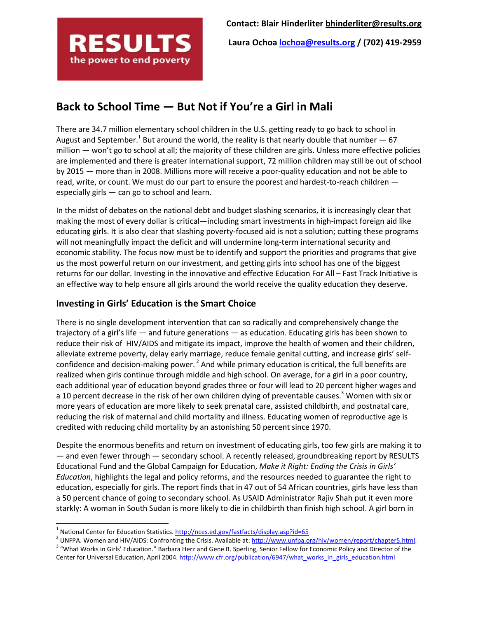

Laura Ochoa lochoa@results.org / (702) 419-2959

# Back to School Time — But Not if You're a Girl in Mali

There are 34.7 million elementary school children in the U.S. getting ready to go back to school in August and September.<sup>1</sup> But around the world, the reality is that nearly double that number  $-67$ million — won't go to school at all; the majority of these children are girls. Unless more effective policies are implemented and there is greater international support, 72 million children may still be out of school by 2015 — more than in 2008. Millions more will receive a poor-quality education and not be able to read, write, or count. We must do our part to ensure the poorest and hardest-to-reach children especially girls — can go to school and learn.

In the midst of debates on the national debt and budget slashing scenarios, it is increasingly clear that making the most of every dollar is critical—including smart investments in high-impact foreign aid like educating girls. It is also clear that slashing poverty-focused aid is not a solution; cutting these programs will not meaningfully impact the deficit and will undermine long-term international security and economic stability. The focus now must be to identify and support the priorities and programs that give us the most powerful return on our investment, and getting girls into school has one of the biggest returns for our dollar. Investing in the innovative and effective Education For All – Fast Track Initiative is an effective way to help ensure all girls around the world receive the quality education they deserve.

## Investing in Girls' Education is the Smart Choice

There is no single development intervention that can so radically and comprehensively change the trajectory of a girl's life — and future generations — as education. Educating girls has been shown to reduce their risk of HIV/AIDS and mitigate its impact, improve the health of women and their children, alleviate extreme poverty, delay early marriage, reduce female genital cutting, and increase girls' selfconfidence and decision-making power.<sup>2</sup> And while primary education is critical, the full benefits are realized when girls continue through middle and high school. On average, for a girl in a poor country, each additional year of education beyond grades three or four will lead to 20 percent higher wages and a 10 percent decrease in the risk of her own children dying of preventable causes.<sup>3</sup> Women with six or more years of education are more likely to seek prenatal care, assisted childbirth, and postnatal care, reducing the risk of maternal and child mortality and illness. Educating women of reproductive age is credited with reducing child mortality by an astonishing 50 percent since 1970.

Despite the enormous benefits and return on investment of educating girls, too few girls are making it to — and even fewer through — secondary school. A recently released, groundbreaking report by RESULTS Educational Fund and the Global Campaign for Education, Make it Right: Ending the Crisis in Girls' Education, highlights the legal and policy reforms, and the resources needed to guarantee the right to education, especially for girls. The report finds that in 47 out of 54 African countries, girls have less than a 50 percent chance of going to secondary school. As USAID Administrator Rajiv Shah put it even more starkly: A woman in South Sudan is more likely to die in childbirth than finish high school. A girl born in

l

<sup>&</sup>lt;sup>1</sup> National Center for Education Statistics. http://nces.ed.gov/fastfacts/display.asp?id=65

<sup>&</sup>lt;sup>2</sup> UNFPA. Women and HIV/AIDS: Confronting the Crisis. Available at: http://www.unfpa.org/hiv/women/report/chapter5.html. <sup>3</sup> "What Works in Girls' Education." Barbara Herz and Gene B. Sperling, Senior Fellow for Economic Policy and Director of the Center for Universal Education, April 2004. http://www.cfr.org/publication/6947/what\_works\_in\_girls\_education.html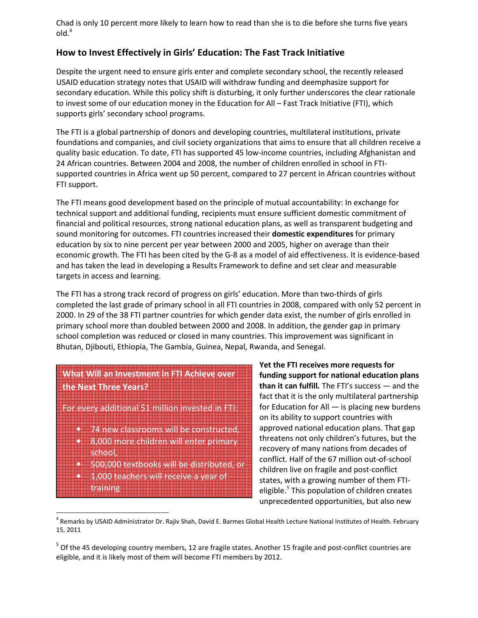Chad is only 10 percent more likely to learn how to read than she is to die before she turns five years  $ol<sup>4</sup>$ 

## How to Invest Effectively in Girls' Education: The Fast Track Initiative

Despite the urgent need to ensure girls enter and complete secondary school, the recently released USAID education strategy notes that USAID will withdraw funding and deemphasize support for secondary education. While this policy shift is disturbing, it only further underscores the clear rationale to invest some of our education money in the Education for All – Fast Track Initiative (FTI), which supports girls' secondary school programs.

The FTI is a global partnership of donors and developing countries, multilateral institutions, private foundations and companies, and civil society organizations that aims to ensure that all children receive a quality basic education. To date, FTI has supported 45 low-income countries, including Afghanistan and 24 African countries. Between 2004 and 2008, the number of children enrolled in school in FTIsupported countries in Africa went up 50 percent, compared to 27 percent in African countries without FTI support.

The FTI means good development based on the principle of mutual accountability: In exchange for technical support and additional funding, recipients must ensure sufficient domestic commitment of financial and political resources, strong national education plans, as well as transparent budgeting and sound monitoring for outcomes. FTI countries increased their **domestic expenditures** for primary education by six to nine percent per year between 2000 and 2005, higher on average than their economic growth. The FTI has been cited by the G-8 as a model of aid effectiveness. It is evidence-based and has taken the lead in developing a Results Framework to define and set clear and measurable targets in access and learning.

The FTI has a strong track record of progress on girls' education. More than two-thirds of girls completed the last grade of primary school in all FTI countries in 2008, compared with only 52 percent in 2000. In 29 of the 38 FTI partner countries for which gender data exist, the number of girls enrolled in primary school more than doubled between 2000 and 2008. In addition, the gender gap in primary school completion was reduced or closed in many countries. This improvement was significant in Bhutan, Djibouti, Ethiopia, The Gambia, Guinea, Nepal, Rwanda, and Senegal.

# What Will an Investment in FTI Achieve over the Next Three Years?

For every additional \$1 million invested in FTI:

- 74 new classrooms will be constructed,
- 8,000 more children will enter primary school,
- 500,000 textbooks will be distributed, or • 1,000 teachers will receive a year of training

 $\overline{a}$ 

Yet the FTI receives more requests for funding support for national education plans than it can fulfill. The FTI's success — and the fact that it is the only multilateral partnership for Education for All — is placing new burdens on its ability to support countries with approved national education plans. That gap threatens not only children's futures, but the recovery of many nations from decades of conflict. Half of the 67 million out-of-school children live on fragile and post-conflict states, with a growing number of them FTIeligible.<sup>5</sup> This population of children creates unprecedented opportunities, but also new

<sup>&</sup>lt;sup>4</sup> Remarks by USAID Administrator Dr. Rajiv Shah, David E. Barmes Global Health Lecture National Institutes of Health. February 15, 2011

<sup>&</sup>lt;sup>5</sup> Of the 45 developing country members, 12 are fragile states. Another 15 fragile and post-conflict countries are eligible, and it is likely most of them will become FTI members by 2012.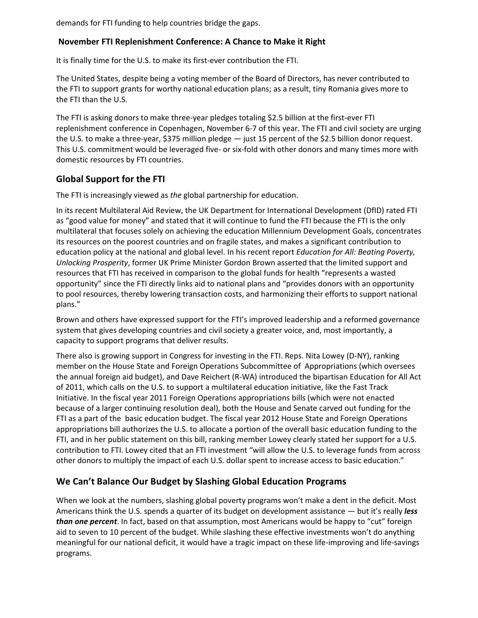demands for FTI funding to help countries bridge the gaps.

#### November FTI Replenishment Conference: A Chance to Make it Right

It is finally time for the U.S. to make its first-ever contribution the FTI.

The United States, despite being a voting member of the Board of Directors, has never contributed to the FTI to support grants for worthy national education plans; as a result, tiny Romania gives more to the FTI than the U.S.

The FTI is asking donors to make three-year pledges totaling \$2.5 billion at the first-ever FTI replenishment conference in Copenhagen, November 6-7 of this year. The FTI and civil society are urging the U.S. to make a three-year, \$375 million pledge — just 15 percent of the \$2.5 billion donor request. This U.S. commitment would be leveraged five- or six-fold with other donors and many times more with domestic resources by FTI countries.

### Global Support for the FTI

The FTI is increasingly viewed as the global partnership for education.

In its recent Multilateral Aid Review, the UK Department for International Development (DfID) rated FTI as "good value for money" and stated that it will continue to fund the FTI because the FTI is the only multilateral that focuses solely on achieving the education Millennium Development Goals, concentrates its resources on the poorest countries and on fragile states, and makes a significant contribution to education policy at the national and global level. In his recent report Education for All: Beating Poverty, Unlocking Prosperity, former UK Prime Minister Gordon Brown asserted that the limited support and resources that FTI has received in comparison to the global funds for health "represents a wasted opportunity" since the FTI directly links aid to national plans and "provides donors with an opportunity to pool resources, thereby lowering transaction costs, and harmonizing their efforts to support national plans."

Brown and others have expressed support for the FTI's improved leadership and a reformed governance system that gives developing countries and civil society a greater voice, and, most importantly, a capacity to support programs that deliver results.

There also is growing support in Congress for investing in the FTI. Reps. Nita Lowey (D-NY), ranking member on the House State and Foreign Operations Subcommittee of Appropriations (which oversees the annual foreign aid budget), and Dave Reichert (R-WA) introduced the bipartisan Education for All Act of 2011, which calls on the U.S. to support a multilateral education initiative, like the Fast Track Initiative. In the fiscal year 2011 Foreign Operations appropriations bills (which were not enacted because of a larger continuing resolution deal), both the House and Senate carved out funding for the FTI as a part of the basic education budget. The fiscal year 2012 House State and Foreign Operations appropriations bill authorizes the U.S. to allocate a portion of the overall basic education funding to the FTI, and in her public statement on this bill, ranking member Lowey clearly stated her support for a U.S. contribution to FTI. Lowey cited that an FTI investment "will allow the U.S. to leverage funds from across other donors to multiply the impact of each U.S. dollar spent to increase access to basic education."

### We Can't Balance Our Budget by Slashing Global Education Programs

When we look at the numbers, slashing global poverty programs won't make a dent in the deficit. Most Americans think the U.S. spends a quarter of its budget on development assistance — but it's really less **than one percent**. In fact, based on that assumption, most Americans would be happy to "cut" foreign aid to seven to 10 percent of the budget. While slashing these effective investments won't do anything meaningful for our national deficit, it would have a tragic impact on these life-improving and life-savings programs.